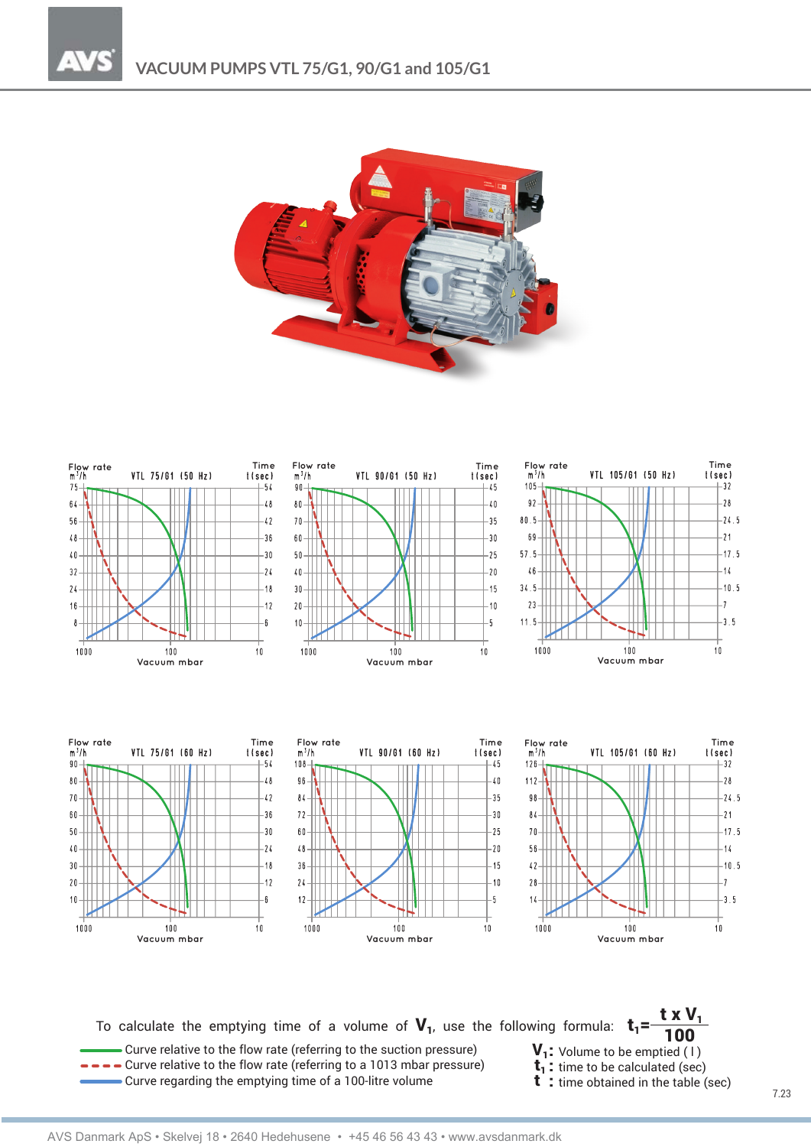



To calculate the emptying time of a volume of  $V_1$ , use the following formula:  $t_1 =$ 

Curve relative to the flow rate (referring to the suction pressure)  $V_1$ : Volume to be emptied (1)<br>  $\rightarrow$   $\rightarrow$  Curve relative to the flow rate (referring to a 1013 mbar pressure)  $t_1$ : time to be calculated (sec)<br>
Curve Curve regarding the emptying time of a 100-litre volume

$$
100
$$

 $txV_1$ 

- 
-